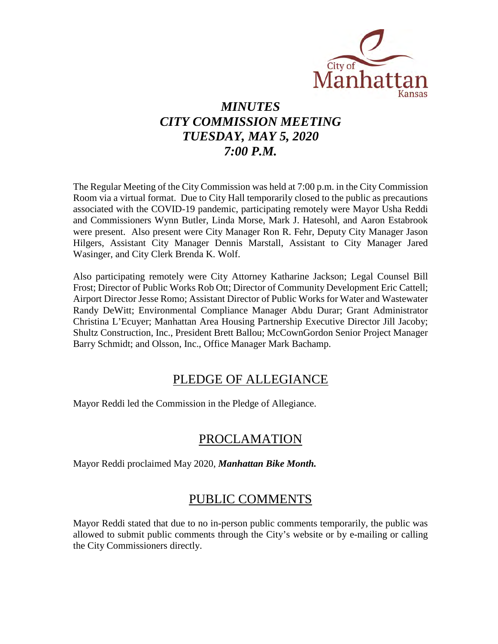

# *MINUTES CITY COMMISSION MEETING TUESDAY, MAY 5, 2020 7:00 P.M.*

The Regular Meeting of the City Commission was held at 7:00 p.m. in the City Commission Room via a virtual format. Due to City Hall temporarily closed to the public as precautions associated with the COVID-19 pandemic, participating remotely were Mayor Usha Reddi and Commissioners Wynn Butler, Linda Morse, Mark J. Hatesohl, and Aaron Estabrook were present. Also present were City Manager Ron R. Fehr, Deputy City Manager Jason Hilgers, Assistant City Manager Dennis Marstall, Assistant to City Manager Jared Wasinger, and City Clerk Brenda K. Wolf.

Also participating remotely were City Attorney Katharine Jackson; Legal Counsel Bill Frost; Director of Public Works Rob Ott; Director of Community Development Eric Cattell; Airport Director Jesse Romo; Assistant Director of Public Works for Water and Wastewater Randy DeWitt; Environmental Compliance Manager Abdu Durar; Grant Administrator Christina L'Ecuyer; Manhattan Area Housing Partnership Executive Director Jill Jacoby; Shultz Construction, Inc., President Brett Ballou; McCownGordon Senior Project Manager Barry Schmidt; and Olsson, Inc., Office Manager Mark Bachamp.

## PLEDGE OF ALLEGIANCE

Mayor Reddi led the Commission in the Pledge of Allegiance.

# PROCLAMATION

Mayor Reddi proclaimed May 2020, *Manhattan Bike Month.*

## PUBLIC COMMENTS

Mayor Reddi stated that due to no in-person public comments temporarily, the public was allowed to submit public comments through the City's website or by e-mailing or calling the City Commissioners directly.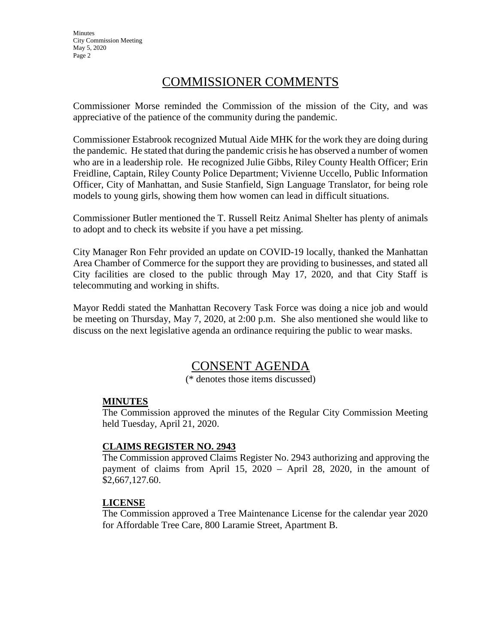**Minutes** City Commission Meeting May 5, 2020 Page 2

## COMMISSIONER COMMENTS

Commissioner Morse reminded the Commission of the mission of the City, and was appreciative of the patience of the community during the pandemic.

Commissioner Estabrook recognized Mutual Aide MHK for the work they are doing during the pandemic. He stated that during the pandemic crisis he has observed a number of women who are in a leadership role. He recognized Julie Gibbs, Riley County Health Officer; Erin Freidline, Captain, Riley County Police Department; Vivienne Uccello, Public Information Officer, City of Manhattan, and Susie Stanfield, Sign Language Translator, for being role models to young girls, showing them how women can lead in difficult situations.

Commissioner Butler mentioned the T. Russell Reitz Animal Shelter has plenty of animals to adopt and to check its website if you have a pet missing.

City Manager Ron Fehr provided an update on COVID-19 locally, thanked the Manhattan Area Chamber of Commerce for the support they are providing to businesses, and stated all City facilities are closed to the public through May 17, 2020, and that City Staff is telecommuting and working in shifts.

Mayor Reddi stated the Manhattan Recovery Task Force was doing a nice job and would be meeting on Thursday, May 7, 2020, at 2:00 p.m. She also mentioned she would like to discuss on the next legislative agenda an ordinance requiring the public to wear masks.

## CONSENT AGENDA

(\* denotes those items discussed)

#### **MINUTES**

The Commission approved the minutes of the Regular City Commission Meeting held Tuesday, April 21, 2020.

### **CLAIMS REGISTER NO. 2943**

The Commission approved Claims Register No. 2943 authorizing and approving the payment of claims from April 15, 2020 – April 28, 2020, in the amount of \$2,667,127.60.

#### **LICENSE**

The Commission approved a Tree Maintenance License for the calendar year 2020 for Affordable Tree Care, 800 Laramie Street, Apartment B.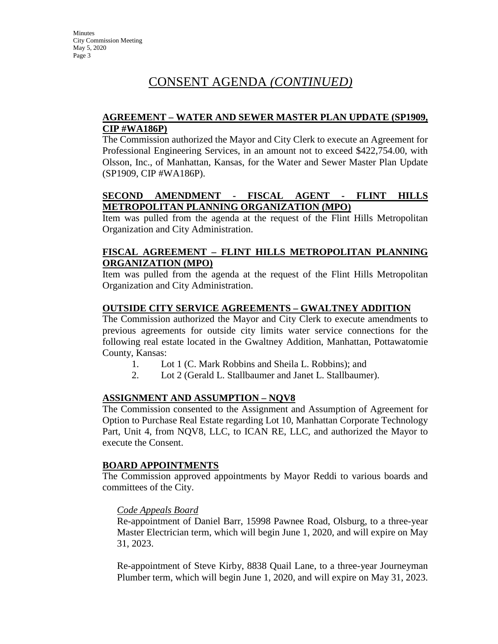# CONSENT AGENDA *(CONTINUED)*

## **AGREEMENT – WATER AND SEWER MASTER PLAN UPDATE (SP1909, CIP #WA186P)**

The Commission authorized the Mayor and City Clerk to execute an Agreement for Professional Engineering Services, in an amount not to exceed \$422,754.00, with Olsson, Inc., of Manhattan, Kansas, for the Water and Sewer Master Plan Update (SP1909, CIP #WA186P).

## **SECOND AMENDMENT - FISCAL AGENT - FLINT HILLS METROPOLITAN PLANNING ORGANIZATION (MPO)**

Item was pulled from the agenda at the request of the Flint Hills Metropolitan Organization and City Administration.

## **FISCAL AGREEMENT – FLINT HILLS METROPOLITAN PLANNING ORGANIZATION (MPO)**

Item was pulled from the agenda at the request of the Flint Hills Metropolitan Organization and City Administration.

## **OUTSIDE CITY SERVICE AGREEMENTS – GWALTNEY ADDITION**

The Commission authorized the Mayor and City Clerk to execute amendments to previous agreements for outside city limits water service connections for the following real estate located in the Gwaltney Addition, Manhattan, Pottawatomie County, Kansas:

- 1. Lot 1 (C. Mark Robbins and Sheila L. Robbins); and
- 2. Lot 2 (Gerald L. Stallbaumer and Janet L. Stallbaumer).

### **ASSIGNMENT AND ASSUMPTION – NQV8**

The Commission consented to the Assignment and Assumption of Agreement for Option to Purchase Real Estate regarding Lot 10, Manhattan Corporate Technology Part, Unit 4, from NQV8, LLC, to ICAN RE, LLC, and authorized the Mayor to execute the Consent.

### **BOARD APPOINTMENTS**

The Commission approved appointments by Mayor Reddi to various boards and committees of the City.

### *Code Appeals Board*

Re-appointment of Daniel Barr, 15998 Pawnee Road, Olsburg, to a three-year Master Electrician term, which will begin June 1, 2020, and will expire on May 31, 2023.

Re-appointment of Steve Kirby, 8838 Quail Lane, to a three-year Journeyman Plumber term, which will begin June 1, 2020, and will expire on May 31, 2023.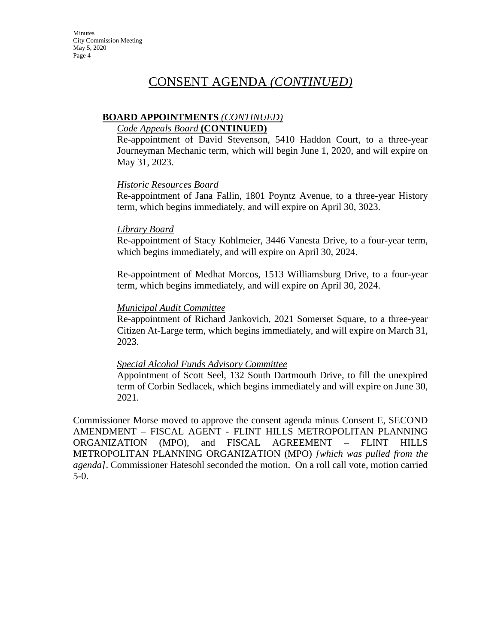## CONSENT AGENDA *(CONTINUED)*

#### **BOARD APPOINTMENTS** *(CONTINUED)*

#### *Code Appeals Board* **(CONTINUED)**

Re-appointment of David Stevenson, 5410 Haddon Court, to a three-year Journeyman Mechanic term, which will begin June 1, 2020, and will expire on May 31, 2023.

#### *Historic Resources Board*

Re-appointment of Jana Fallin, 1801 Poyntz Avenue, to a three-year History term, which begins immediately, and will expire on April 30, 3023.

#### *Library Board*

Re-appointment of Stacy Kohlmeier, 3446 Vanesta Drive, to a four-year term, which begins immediately, and will expire on April 30, 2024.

Re-appointment of Medhat Morcos, 1513 Williamsburg Drive, to a four-year term, which begins immediately, and will expire on April 30, 2024.

#### *Municipal Audit Committee*

Re-appointment of Richard Jankovich, 2021 Somerset Square, to a three-year Citizen At-Large term, which begins immediately, and will expire on March 31, 2023.

#### *Special Alcohol Funds Advisory Committee*

Appointment of Scott Seel, 132 South Dartmouth Drive, to fill the unexpired term of Corbin Sedlacek, which begins immediately and will expire on June 30, 2021.

Commissioner Morse moved to approve the consent agenda minus Consent E, SECOND AMENDMENT – FISCAL AGENT - FLINT HILLS METROPOLITAN PLANNING ORGANIZATION (MPO), and FISCAL AGREEMENT – FLINT HILLS METROPOLITAN PLANNING ORGANIZATION (MPO) *[which was pulled from the agenda]*. Commissioner Hatesohl seconded the motion. On a roll call vote, motion carried 5-0.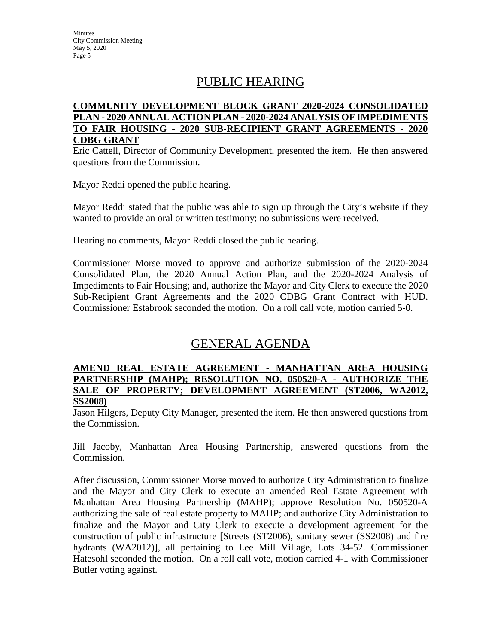**Minutes** City Commission Meeting May 5, 2020 Page 5

## PUBLIC HEARING

#### **COMMUNITY DEVELOPMENT BLOCK GRANT 2020-2024 CONSOLIDATED PLAN - 2020 ANNUAL ACTION PLAN - 2020-2024 ANALYSIS OF IMPEDIMENTS TO FAIR HOUSING - 2020 SUB-RECIPIENT GRANT AGREEMENTS - 2020 CDBG GRANT**

Eric Cattell, Director of Community Development, presented the item. He then answered questions from the Commission.

Mayor Reddi opened the public hearing.

Mayor Reddi stated that the public was able to sign up through the City's website if they wanted to provide an oral or written testimony; no submissions were received.

Hearing no comments, Mayor Reddi closed the public hearing.

Commissioner Morse moved to approve and authorize submission of the 2020-2024 Consolidated Plan, the 2020 Annual Action Plan, and the 2020-2024 Analysis of Impediments to Fair Housing; and, authorize the Mayor and City Clerk to execute the 2020 Sub-Recipient Grant Agreements and the 2020 CDBG Grant Contract with HUD. Commissioner Estabrook seconded the motion. On a roll call vote, motion carried 5-0.

## GENERAL AGENDA

#### **AMEND REAL ESTATE AGREEMENT - MANHATTAN AREA HOUSING PARTNERSHIP (MAHP); RESOLUTION NO. 050520-A - AUTHORIZE THE SALE OF PROPERTY; DEVELOPMENT AGREEMENT (ST2006, WA2012, SS2008)**

Jason Hilgers, Deputy City Manager, presented the item. He then answered questions from the Commission.

Jill Jacoby, Manhattan Area Housing Partnership, answered questions from the Commission.

After discussion, Commissioner Morse moved to authorize City Administration to finalize and the Mayor and City Clerk to execute an amended Real Estate Agreement with Manhattan Area Housing Partnership (MAHP); approve Resolution No. 050520-A authorizing the sale of real estate property to MAHP; and authorize City Administration to finalize and the Mayor and City Clerk to execute a development agreement for the construction of public infrastructure [Streets (ST2006), sanitary sewer (SS2008) and fire hydrants (WA2012)], all pertaining to Lee Mill Village, Lots 34-52. Commissioner Hatesohl seconded the motion. On a roll call vote, motion carried 4-1 with Commissioner Butler voting against.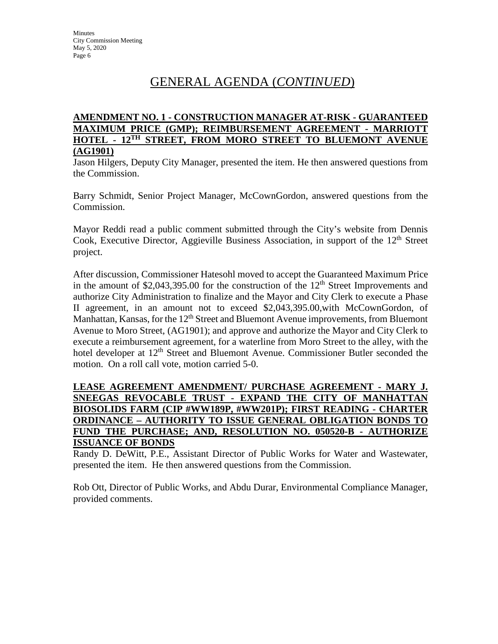# GENERAL AGENDA (*CONTINUED*)

#### **AMENDMENT NO. 1 - CONSTRUCTION MANAGER AT-RISK - GUARANTEED MAXIMUM PRICE (GMP); REIMBURSEMENT AGREEMENT - MARRIOTT HOTEL - 12TH STREET, FROM MORO STREET TO BLUEMONT AVENUE (AG1901)**

Jason Hilgers, Deputy City Manager, presented the item. He then answered questions from the Commission.

Barry Schmidt, Senior Project Manager, McCownGordon, answered questions from the Commission.

Mayor Reddi read a public comment submitted through the City's website from Dennis Cook, Executive Director, Aggieville Business Association, in support of the 12<sup>th</sup> Street project.

After discussion, Commissioner Hatesohl moved to accept the Guaranteed Maximum Price in the amount of  $$2,043,395.00$  for the construction of the  $12<sup>th</sup>$  Street Improvements and authorize City Administration to finalize and the Mayor and City Clerk to execute a Phase II agreement, in an amount not to exceed \$2,043,395.00,with McCownGordon, of Manhattan, Kansas, for the  $12<sup>th</sup>$  Street and Bluemont Avenue improvements, from Bluemont Avenue to Moro Street, (AG1901); and approve and authorize the Mayor and City Clerk to execute a reimbursement agreement, for a waterline from Moro Street to the alley, with the hotel developer at 12<sup>th</sup> Street and Bluemont Avenue. Commissioner Butler seconded the motion. On a roll call vote, motion carried 5-0.

#### **LEASE AGREEMENT AMENDMENT/ PURCHASE AGREEMENT - MARY J. SNEEGAS REVOCABLE TRUST - EXPAND THE CITY OF MANHATTAN BIOSOLIDS FARM (CIP #WW189P, #WW201P); FIRST READING - CHARTER ORDINANCE – AUTHORITY TO ISSUE GENERAL OBLIGATION BONDS TO FUND THE PURCHASE; AND, RESOLUTION NO. 050520-B - AUTHORIZE ISSUANCE OF BONDS**

Randy D. DeWitt, P.E., Assistant Director of Public Works for Water and Wastewater, presented the item. He then answered questions from the Commission.

Rob Ott, Director of Public Works, and Abdu Durar, Environmental Compliance Manager, provided comments.